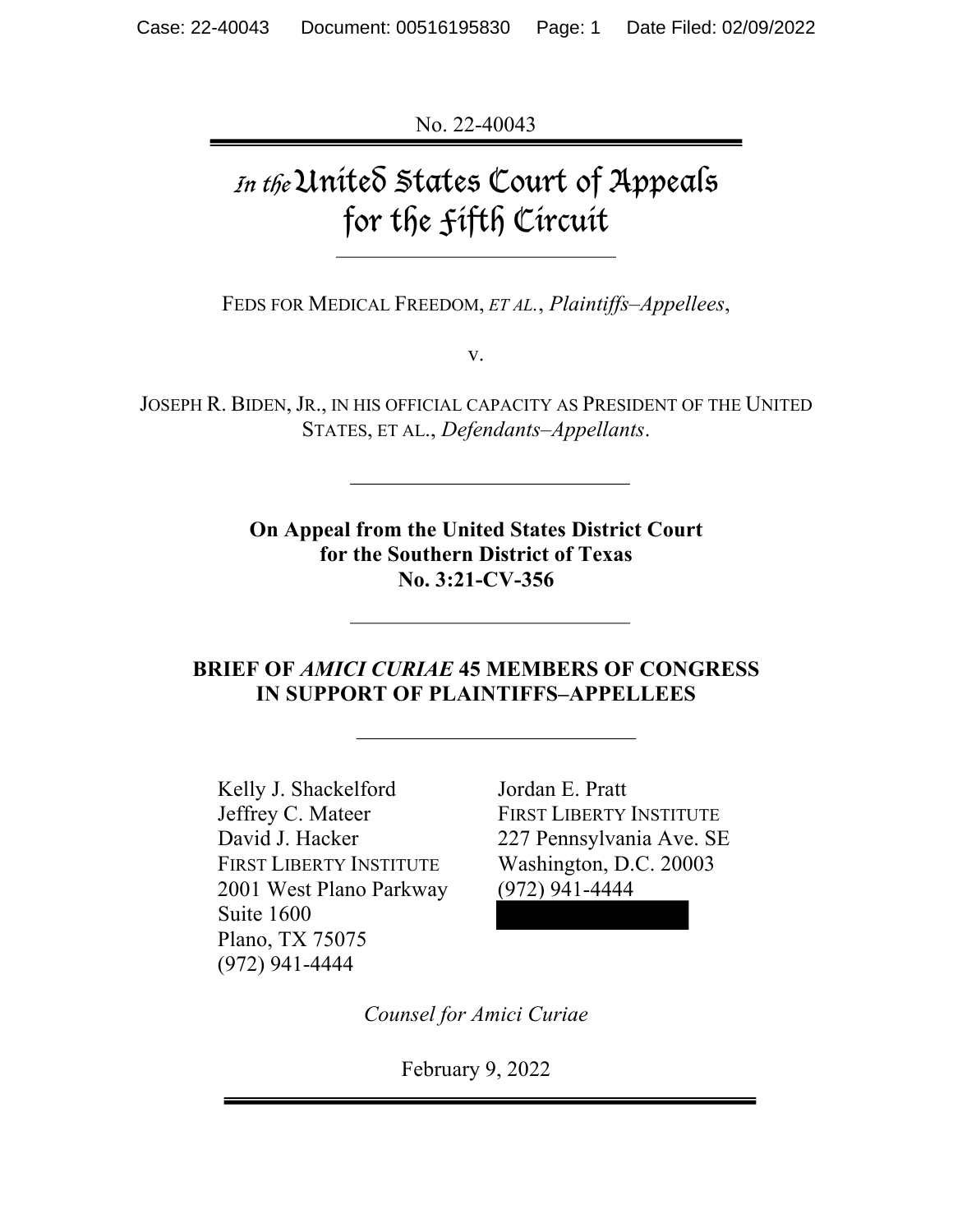No. 22-40043

# In the United States Court of Appeals for the Fifth Circuit

FEDS FOR MEDICAL FREEDOM, *ET AL.*, *Plaintiffs–Appellees*,

v.

JOSEPH R. BIDEN, JR., IN HIS OFFICIAL CAPACITY AS PRESIDENT OF THE UNITED STATES, ET AL., *Defendants–Appellants*.

> **On Appeal from the United States District Court for the Southern District of Texas No. 3:21-CV-356**

### **BRIEF OF** *AMICI CURIAE* **45 MEMBERS OF CONGRESS IN SUPPORT OF PLAINTIFFS–APPELLEES**

Kelly J. Shackelford Jordan E. Pratt Jeffrey C. Mateer FIRST LIBERTY INSTITUTE David J. Hacker 227 Pennsylvania Ave. SE FIRST LIBERTY INSTITUTE Washington, D.C. 20003 2001 West Plano Parkway (972) 941-4444 Suite 1600 Plano, TX 75075 (972) 941-4444

*Counsel for Amici Curiae*

February 9, 2022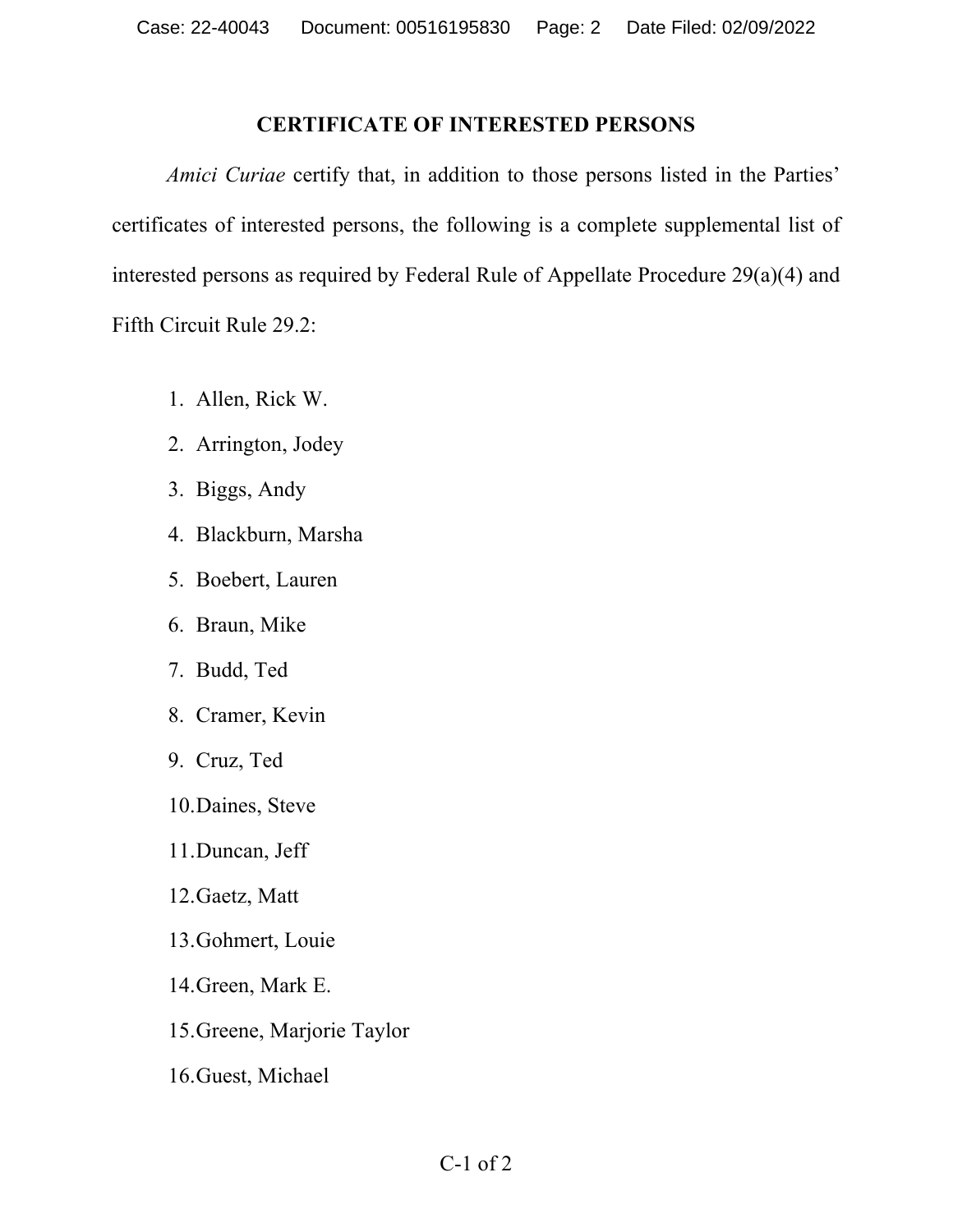#### **CERTIFICATE OF INTERESTED PERSONS**

 *Amici Curiae* certify that, in addition to those persons listed in the Parties' certificates of interested persons, the following is a complete supplemental list of interested persons as required by Federal Rule of Appellate Procedure 29(a)(4) and Fifth Circuit Rule 29.2:

- 1. Allen, Rick W.
- 2. Arrington, Jodey
- 3. Biggs, Andy
- 4. Blackburn, Marsha
- 5. Boebert, Lauren
- 6. Braun, Mike
- 7. Budd, Ted
- 8. Cramer, Kevin
- 9. Cruz, Ted
- 10.Daines, Steve
- 11.Duncan, Jeff
- 12.Gaetz, Matt
- 13.Gohmert, Louie
- 14.Green, Mark E.
- 15.Greene, Marjorie Taylor
- 16.Guest, Michael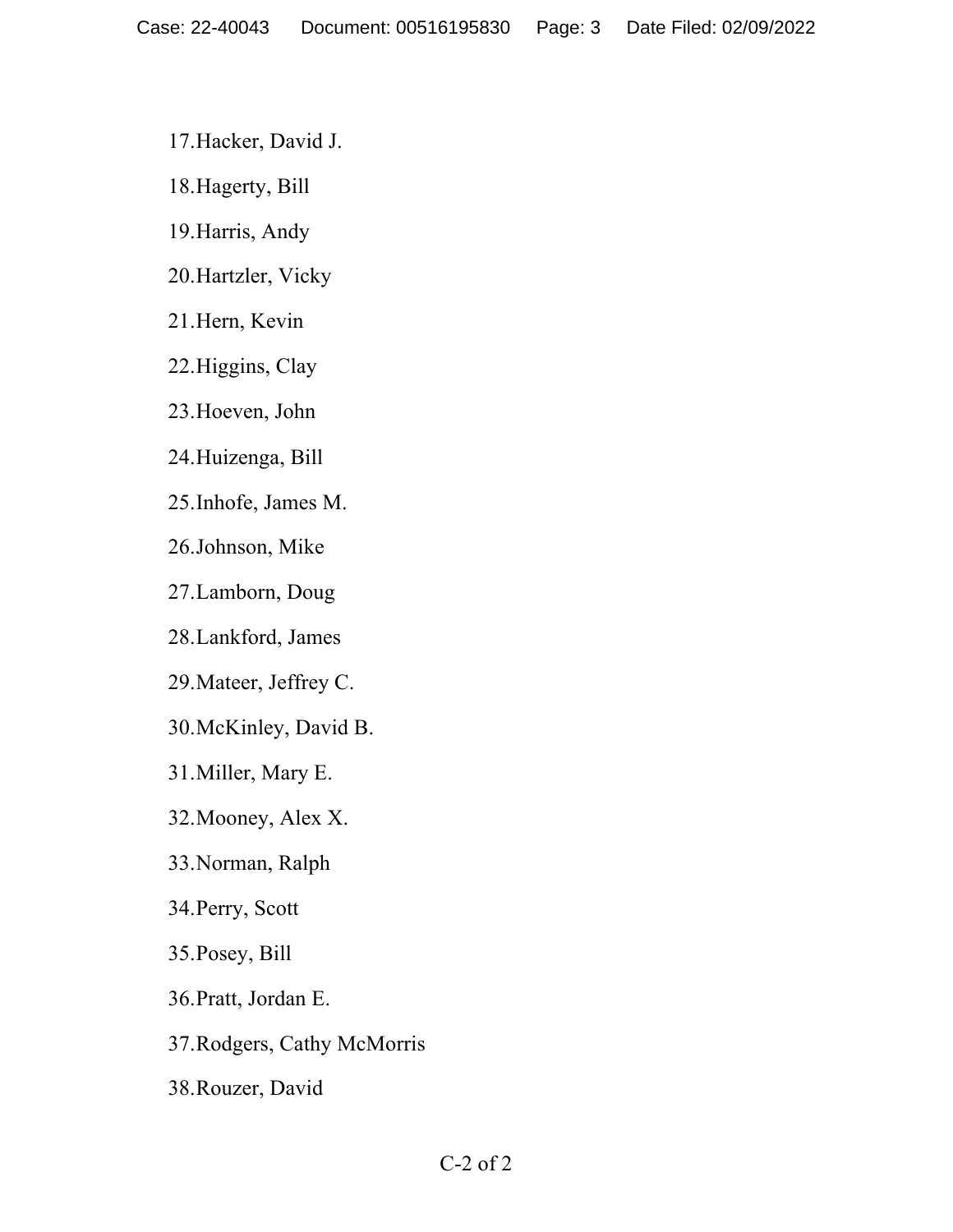17.Hacker, David J.

18.Hagerty, Bill

19.Harris, Andy

20.Hartzler, Vicky

21.Hern, Kevin

22.Higgins, Clay

23.Hoeven, John

24.Huizenga, Bill

25.Inhofe, James M.

26.Johnson, Mike

27.Lamborn, Doug

28.Lankford, James

29.Mateer, Jeffrey C.

30.McKinley, David B.

31.Miller, Mary E.

32.Mooney, Alex X.

33.Norman, Ralph

34.Perry, Scott

35.Posey, Bill

36.Pratt, Jordan E.

37.Rodgers, Cathy McMorris

38.Rouzer, David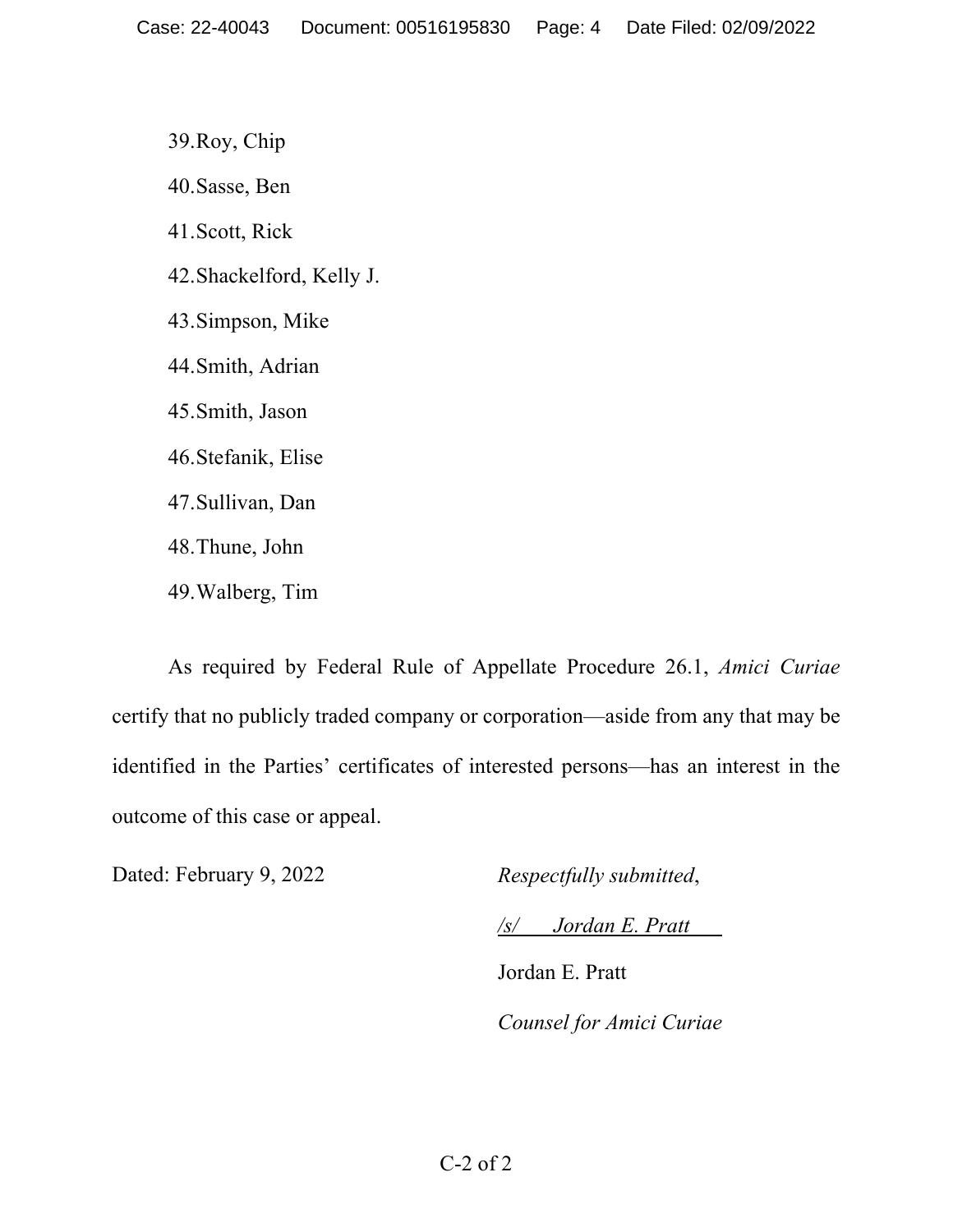39.Roy, Chip 40.Sasse, Ben 41.Scott, Rick 42.Shackelford, Kelly J. 43.Simpson, Mike 44.Smith, Adrian 45.Smith, Jason 46.Stefanik, Elise 47.Sullivan, Dan 48.Thune, John 49.Walberg, Tim

As required by Federal Rule of Appellate Procedure 26.1, *Amici Curiae* certify that no publicly traded company or corporation—aside from any that may be identified in the Parties' certificates of interested persons—has an interest in the outcome of this case or appeal.

Dated: February 9, 2022 *Respectfully submitted*,

*/s/ Jordan E. Pratt*

Jordan E. Pratt *Counsel for Amici Curiae*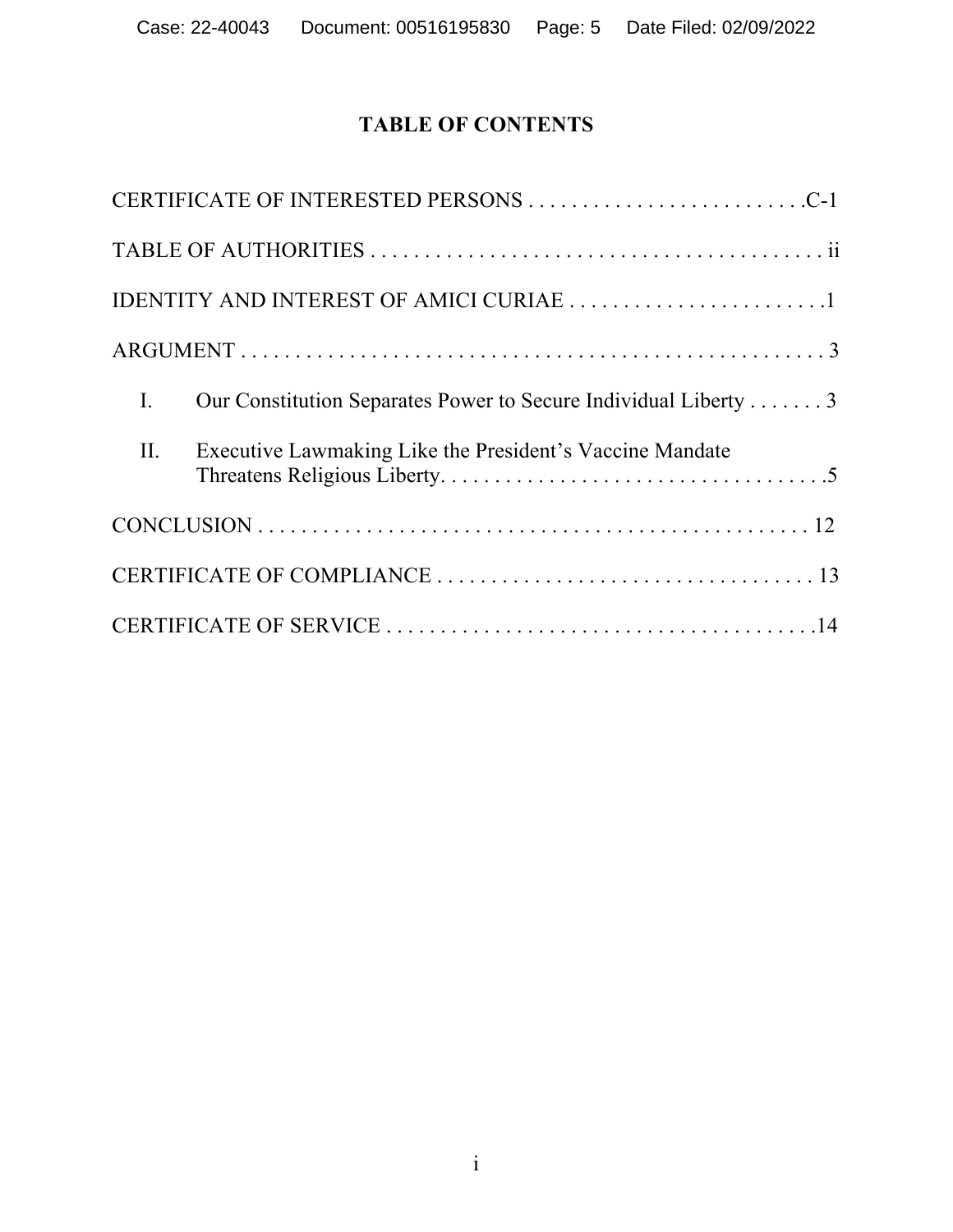# **TABLE OF CONTENTS**

|                | CERTIFICATE OF INTERESTED PERSONS C-1                           |
|----------------|-----------------------------------------------------------------|
|                |                                                                 |
|                |                                                                 |
|                |                                                                 |
| $\mathbf{I}$ . | Our Constitution Separates Power to Secure Individual Liberty 3 |
| II.            | Executive Lawmaking Like the President's Vaccine Mandate        |
|                |                                                                 |
|                |                                                                 |
|                |                                                                 |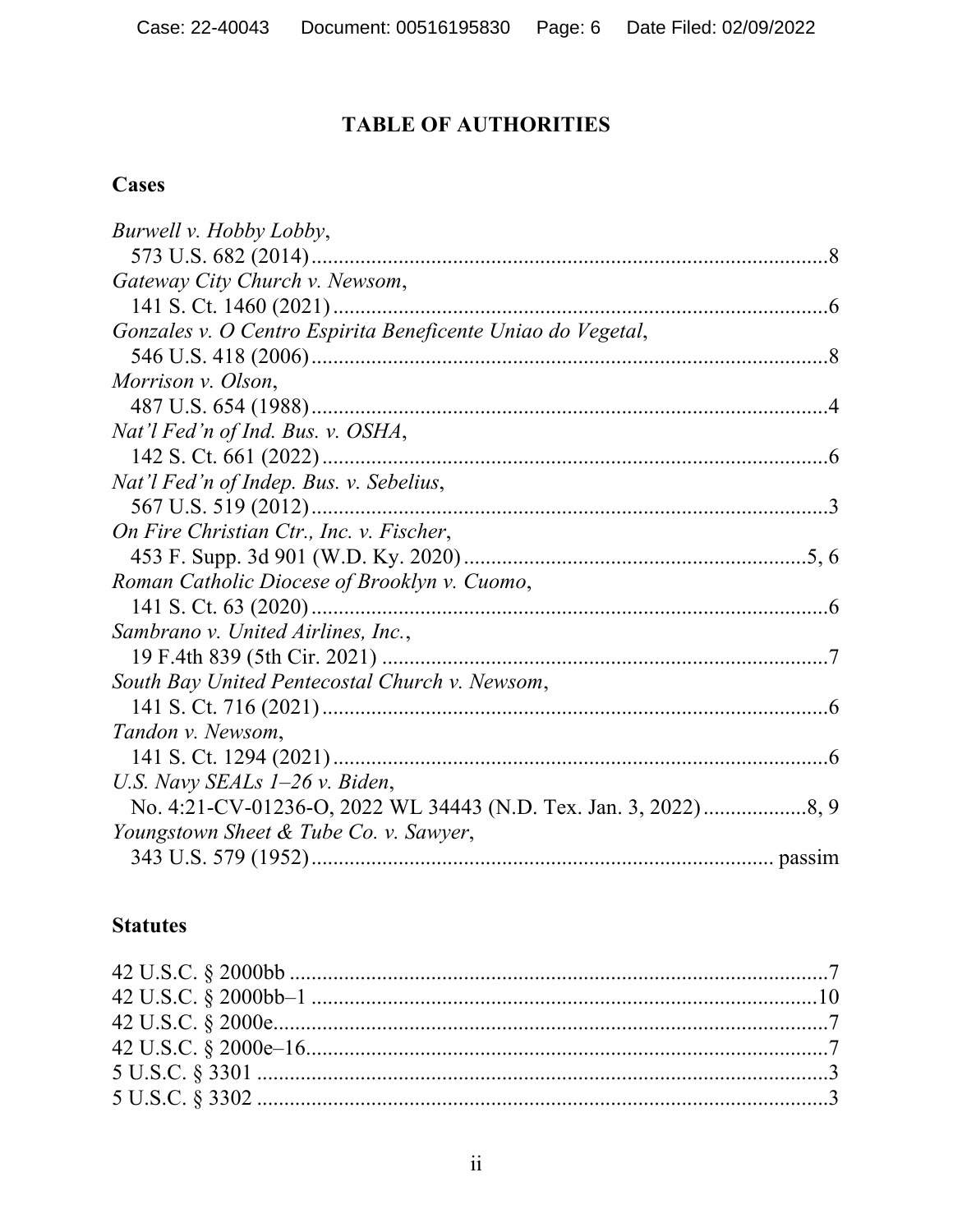# **TABLE OF AUTHORITIES**

# **Cases**

| Burwell v. Hobby Lobby,                                     |  |
|-------------------------------------------------------------|--|
|                                                             |  |
| Gateway City Church v. Newsom,                              |  |
|                                                             |  |
| Gonzales v. O Centro Espirita Beneficente Uniao do Vegetal, |  |
|                                                             |  |
| Morrison v. Olson,                                          |  |
|                                                             |  |
| Nat'l Fed'n of Ind. Bus. v. OSHA,                           |  |
|                                                             |  |
| Nat'l Fed'n of Indep. Bus. v. Sebelius,                     |  |
|                                                             |  |
| On Fire Christian Ctr., Inc. v. Fischer,                    |  |
|                                                             |  |
| Roman Catholic Diocese of Brooklyn v. Cuomo,                |  |
|                                                             |  |
| Sambrano v. United Airlines, Inc.,                          |  |
|                                                             |  |
| South Bay United Pentecostal Church v. Newsom,              |  |
|                                                             |  |
| Tandon v. Newsom,                                           |  |
|                                                             |  |
| U.S. Navy SEALs $1-26$ v. Biden,                            |  |
|                                                             |  |
| Youngstown Sheet & Tube Co. v. Sawyer,                      |  |
|                                                             |  |

### **Statutes**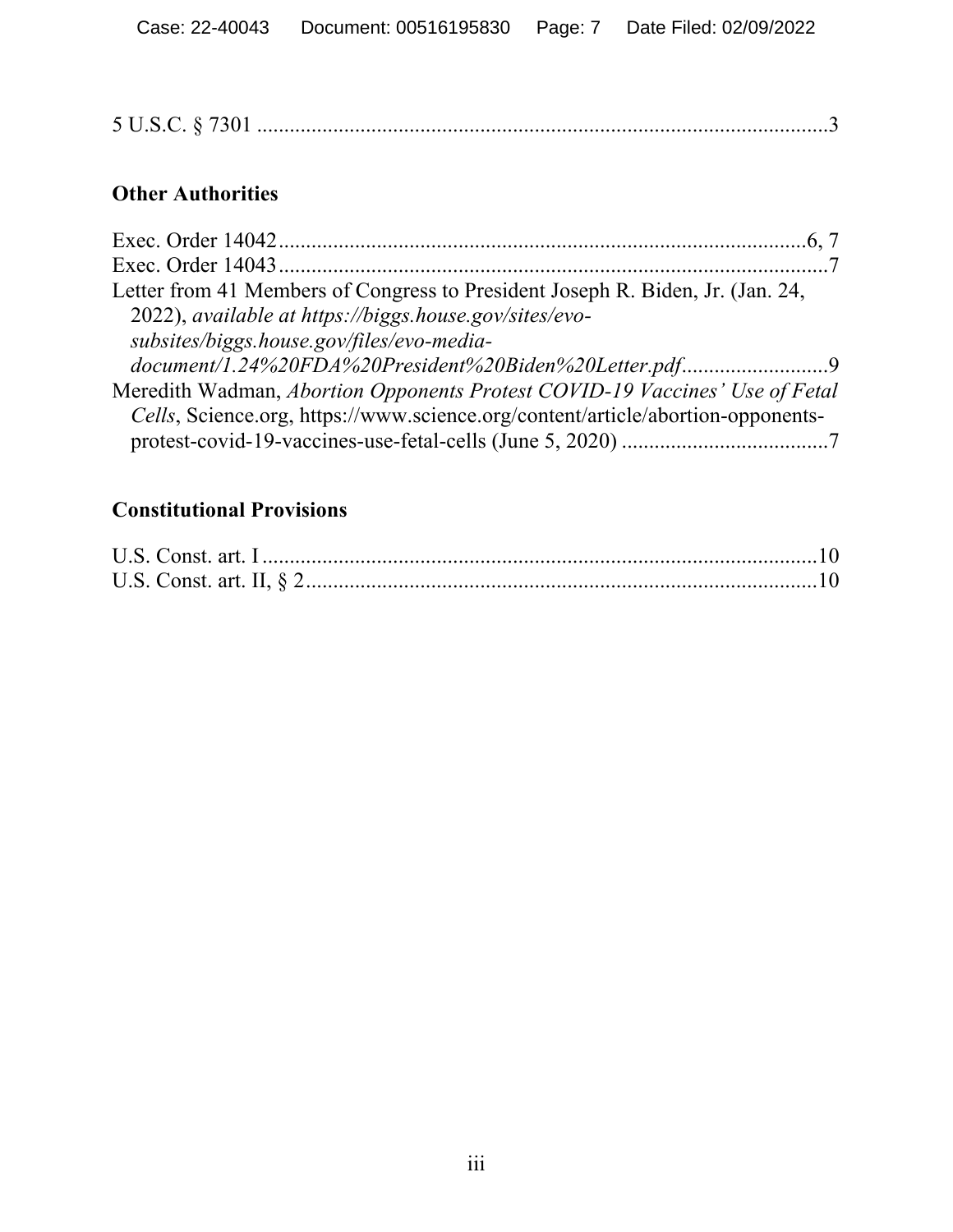# **Other Authorities**

| Letter from 41 Members of Congress to President Joseph R. Biden, Jr. (Jan. 24,  |
|---------------------------------------------------------------------------------|
| 2022), available at https://biggs.house.gov/sites/evo-                          |
| subsites/biggs.house.gov/files/evo-media-                                       |
| document/1.24%20FDA%20President%20Biden%20Letter.pdf9                           |
| Meredith Wadman, Abortion Opponents Protest COVID-19 Vaccines' Use of Fetal     |
| Cells, Science.org, https://www.science.org/content/article/abortion-opponents- |
|                                                                                 |

# **Constitutional Provisions**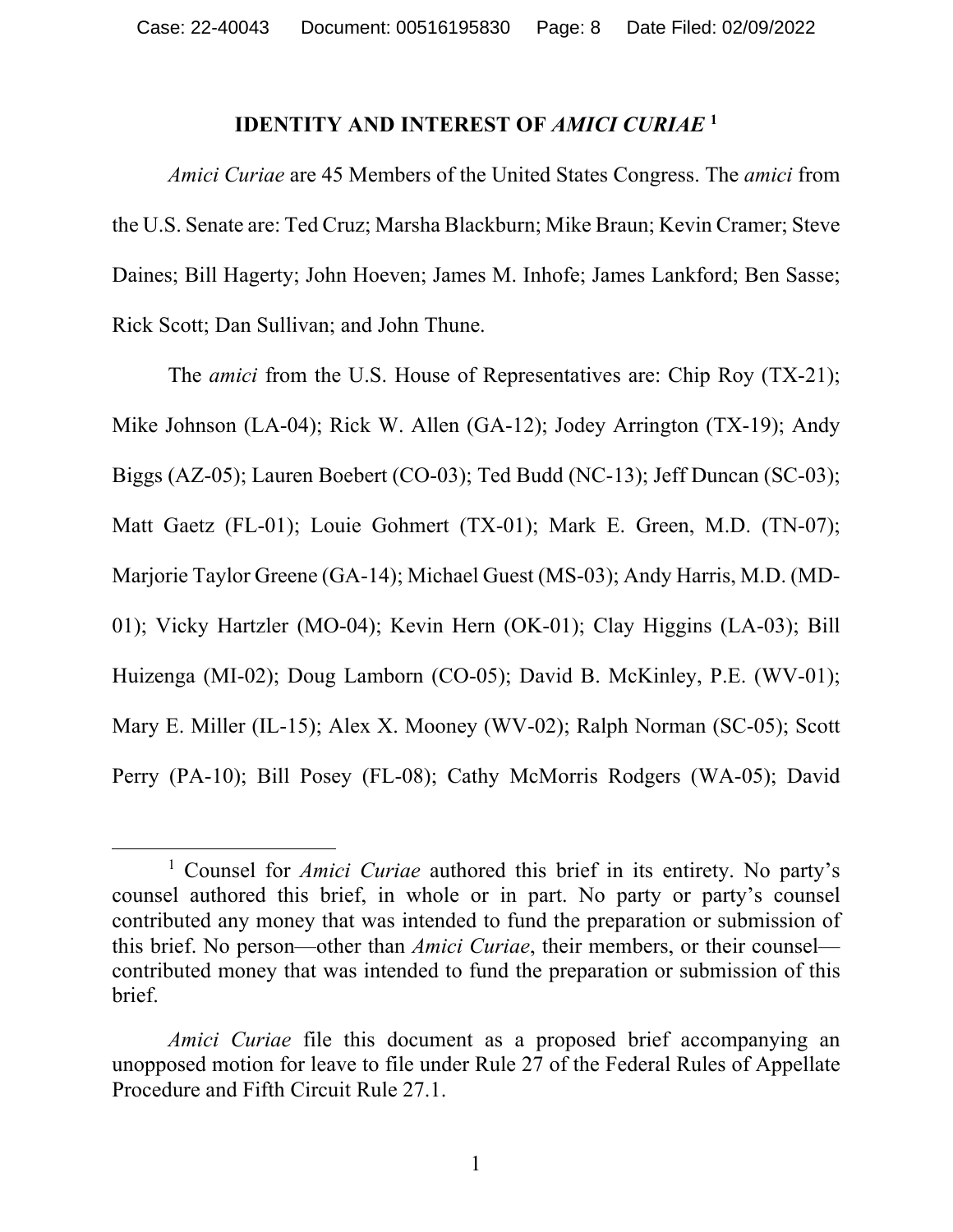#### **IDENTITY AND INTEREST OF** *AMICI CURIAE* **<sup>1</sup>**

*Amici Curiae* are 45 Members of the United States Congress. The *amici* from the U.S. Senate are: Ted Cruz; Marsha Blackburn; Mike Braun; Kevin Cramer; Steve Daines; Bill Hagerty; John Hoeven; James M. Inhofe; James Lankford; Ben Sasse; Rick Scott; Dan Sullivan; and John Thune.

The *amici* from the U.S. House of Representatives are: Chip Roy (TX-21); Mike Johnson (LA-04); Rick W. Allen (GA-12); Jodey Arrington (TX-19); Andy Biggs (AZ-05); Lauren Boebert (CO-03); Ted Budd (NC-13); Jeff Duncan (SC-03); Matt Gaetz (FL-01); Louie Gohmert (TX-01); Mark E. Green, M.D. (TN-07); Marjorie Taylor Greene (GA-14); Michael Guest (MS-03); Andy Harris, M.D. (MD-01); Vicky Hartzler (MO-04); Kevin Hern (OK-01); Clay Higgins (LA-03); Bill Huizenga (MI-02); Doug Lamborn (CO-05); David B. McKinley, P.E. (WV-01); Mary E. Miller (IL-15); Alex X. Mooney (WV-02); Ralph Norman (SC-05); Scott Perry (PA-10); Bill Posey (FL-08); Cathy McMorris Rodgers (WA-05); David

<sup>&</sup>lt;sup>1</sup> Counsel for *Amici Curiae* authored this brief in its entirety. No party's counsel authored this brief, in whole or in part. No party or party's counsel contributed any money that was intended to fund the preparation or submission of this brief. No person—other than *Amici Curiae*, their members, or their counsel contributed money that was intended to fund the preparation or submission of this brief.

*Amici Curiae* file this document as a proposed brief accompanying an unopposed motion for leave to file under Rule 27 of the Federal Rules of Appellate Procedure and Fifth Circuit Rule 27.1.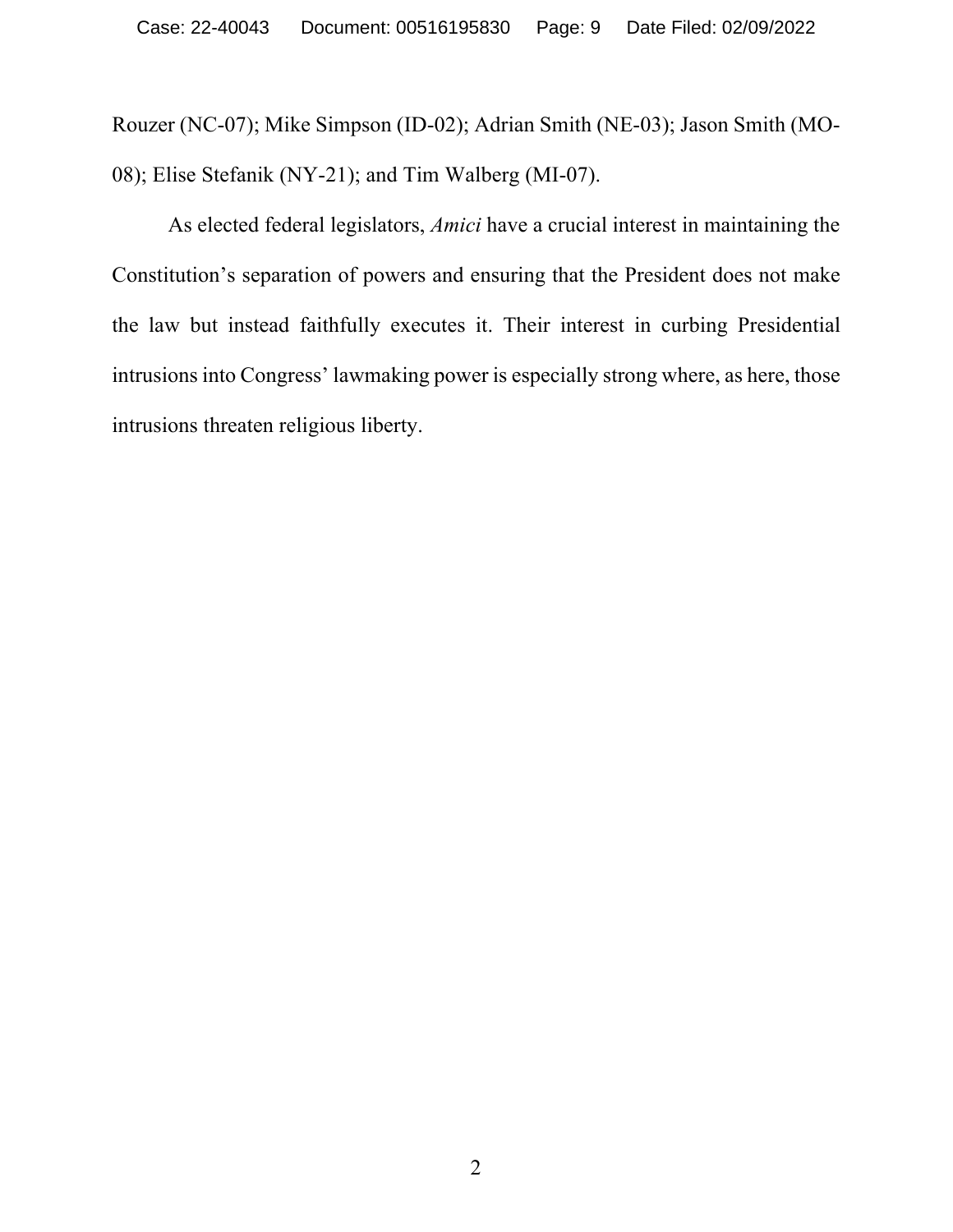Rouzer (NC-07); Mike Simpson (ID-02); Adrian Smith (NE-03); Jason Smith (MO-08); Elise Stefanik (NY-21); and Tim Walberg (MI-07).

As elected federal legislators, *Amici* have a crucial interest in maintaining the Constitution's separation of powers and ensuring that the President does not make the law but instead faithfully executes it. Their interest in curbing Presidential intrusions into Congress' lawmaking power is especially strong where, as here, those intrusions threaten religious liberty.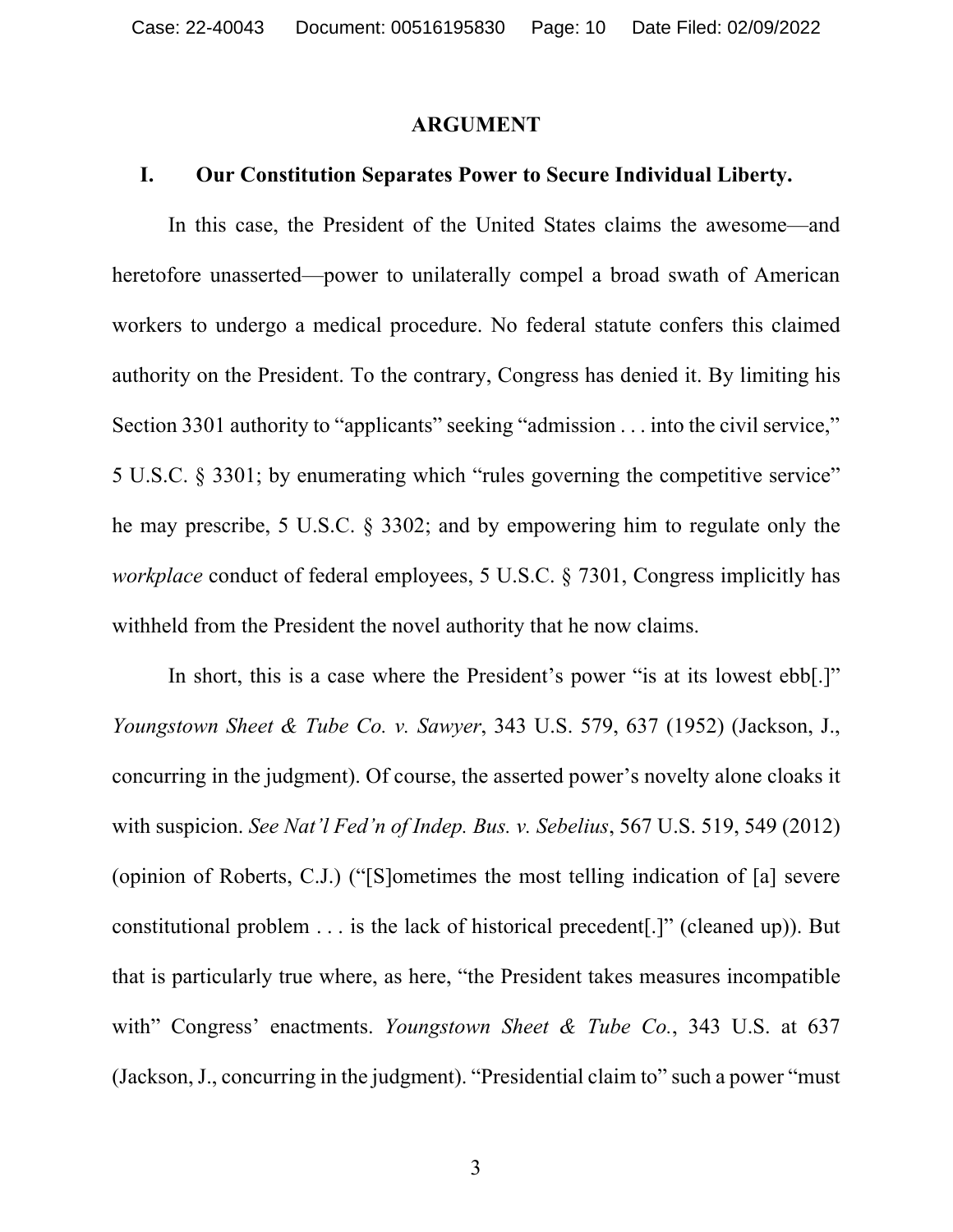#### **ARGUMENT**

#### **I. Our Constitution Separates Power to Secure Individual Liberty.**

In this case, the President of the United States claims the awesome—and heretofore unasserted—power to unilaterally compel a broad swath of American workers to undergo a medical procedure. No federal statute confers this claimed authority on the President. To the contrary, Congress has denied it. By limiting his Section 3301 authority to "applicants" seeking "admission . . . into the civil service," 5 U.S.C. § 3301; by enumerating which "rules governing the competitive service" he may prescribe, 5 U.S.C. § 3302; and by empowering him to regulate only the *workplace* conduct of federal employees, 5 U.S.C. § 7301, Congress implicitly has withheld from the President the novel authority that he now claims.

In short, this is a case where the President's power "is at its lowest ebb[.]" *Youngstown Sheet & Tube Co. v. Sawyer*, 343 U.S. 579, 637 (1952) (Jackson, J., concurring in the judgment). Of course, the asserted power's novelty alone cloaks it with suspicion. *See Nat'l Fed'n of Indep. Bus. v. Sebelius*, 567 U.S. 519, 549 (2012) (opinion of Roberts, C.J.) ("[S]ometimes the most telling indication of [a] severe constitutional problem . . . is the lack of historical precedent[.]" (cleaned up)). But that is particularly true where, as here, "the President takes measures incompatible with" Congress' enactments. *Youngstown Sheet & Tube Co.*, 343 U.S. at 637 (Jackson, J., concurring in the judgment). "Presidential claim to" such a power "must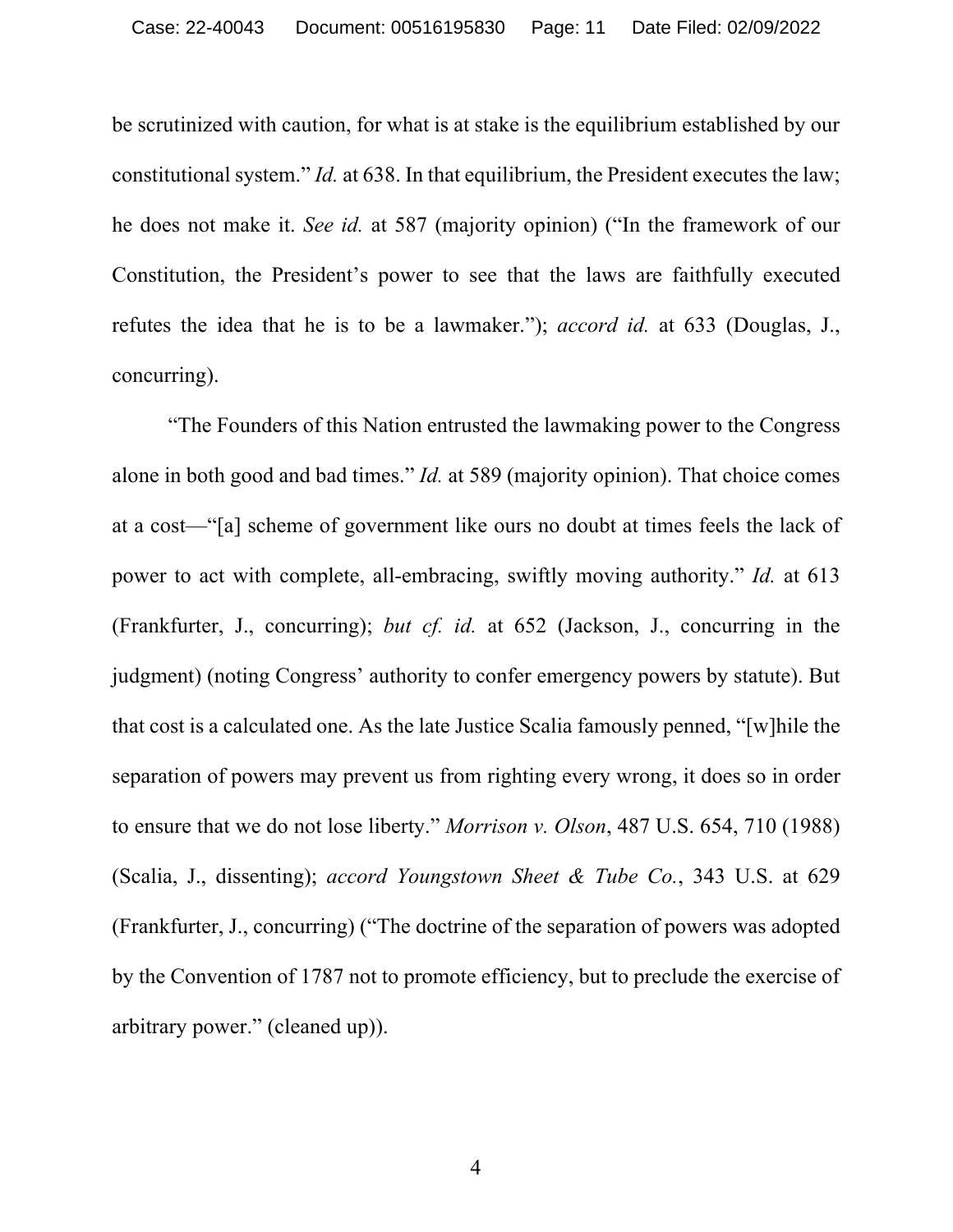be scrutinized with caution, for what is at stake is the equilibrium established by our constitutional system." *Id.* at 638. In that equilibrium, the President executes the law; he does not make it. *See id.* at 587 (majority opinion) ("In the framework of our Constitution, the President's power to see that the laws are faithfully executed refutes the idea that he is to be a lawmaker."); *accord id.* at 633 (Douglas, J., concurring).

"The Founders of this Nation entrusted the lawmaking power to the Congress alone in both good and bad times." *Id.* at 589 (majority opinion). That choice comes at a cost—"[a] scheme of government like ours no doubt at times feels the lack of power to act with complete, all-embracing, swiftly moving authority." *Id.* at 613 (Frankfurter, J., concurring); *but cf. id.* at 652 (Jackson, J., concurring in the judgment) (noting Congress' authority to confer emergency powers by statute). But that cost is a calculated one. As the late Justice Scalia famously penned, "[w]hile the separation of powers may prevent us from righting every wrong, it does so in order to ensure that we do not lose liberty." *Morrison v. Olson*, 487 U.S. 654, 710 (1988) (Scalia, J., dissenting); *accord Youngstown Sheet & Tube Co.*, 343 U.S. at 629 (Frankfurter, J., concurring) ("The doctrine of the separation of powers was adopted by the Convention of 1787 not to promote efficiency, but to preclude the exercise of arbitrary power." (cleaned up)).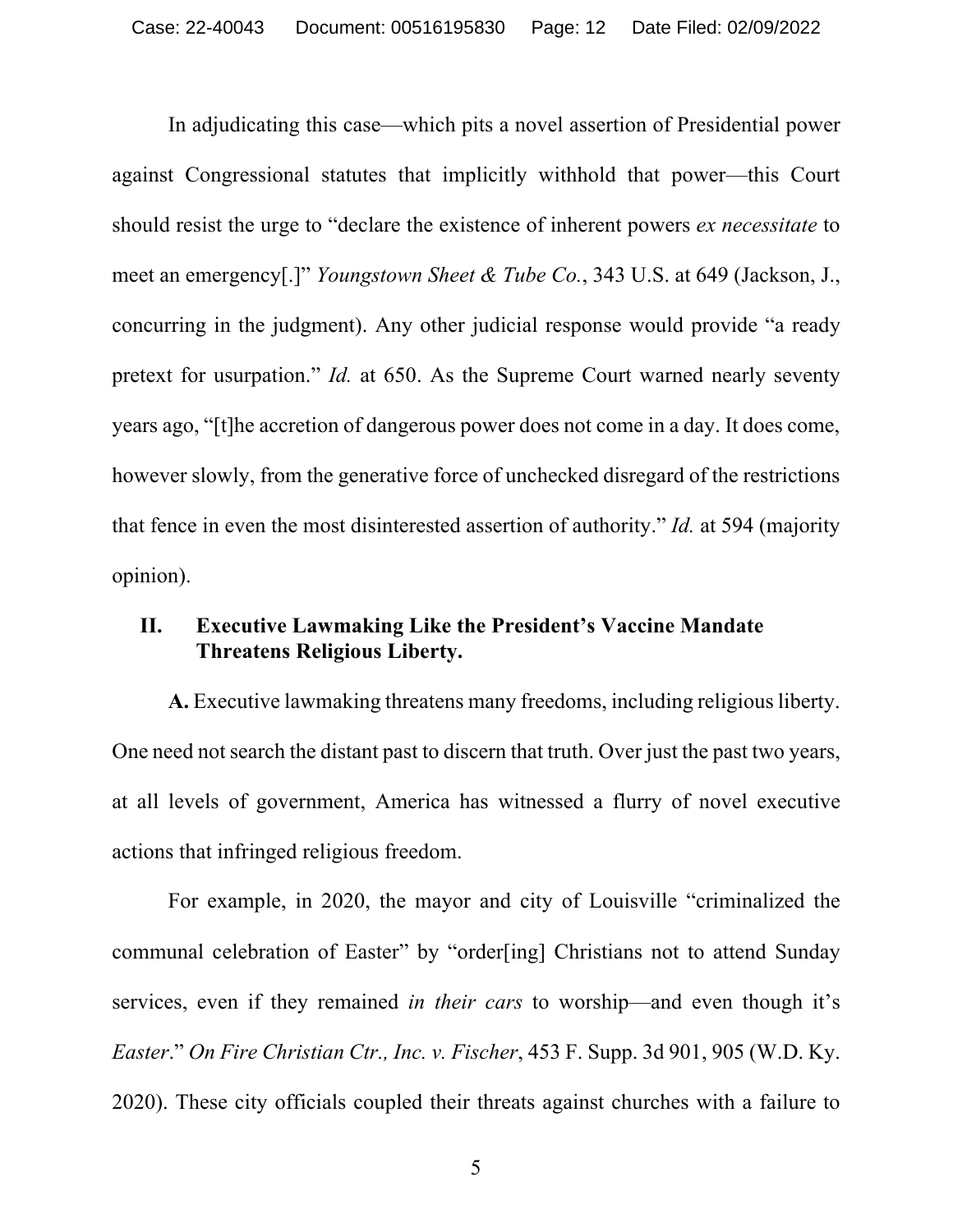In adjudicating this case—which pits a novel assertion of Presidential power against Congressional statutes that implicitly withhold that power—this Court should resist the urge to "declare the existence of inherent powers *ex necessitate* to meet an emergency[.]" *Youngstown Sheet & Tube Co.*, 343 U.S. at 649 (Jackson, J., concurring in the judgment). Any other judicial response would provide "a ready pretext for usurpation." *Id.* at 650. As the Supreme Court warned nearly seventy years ago, "[t]he accretion of dangerous power does not come in a day. It does come, however slowly, from the generative force of unchecked disregard of the restrictions that fence in even the most disinterested assertion of authority." *Id.* at 594 (majority opinion).

### **II. Executive Lawmaking Like the President's Vaccine Mandate Threatens Religious Liberty.**

**A.** Executive lawmaking threatens many freedoms, including religious liberty. One need not search the distant past to discern that truth. Over just the past two years, at all levels of government, America has witnessed a flurry of novel executive actions that infringed religious freedom.

For example, in 2020, the mayor and city of Louisville "criminalized the communal celebration of Easter" by "order[ing] Christians not to attend Sunday services, even if they remained *in their cars* to worship—and even though it's *Easter*." *On Fire Christian Ctr., Inc. v. Fischer*, 453 F. Supp. 3d 901, 905 (W.D. Ky. 2020). These city officials coupled their threats against churches with a failure to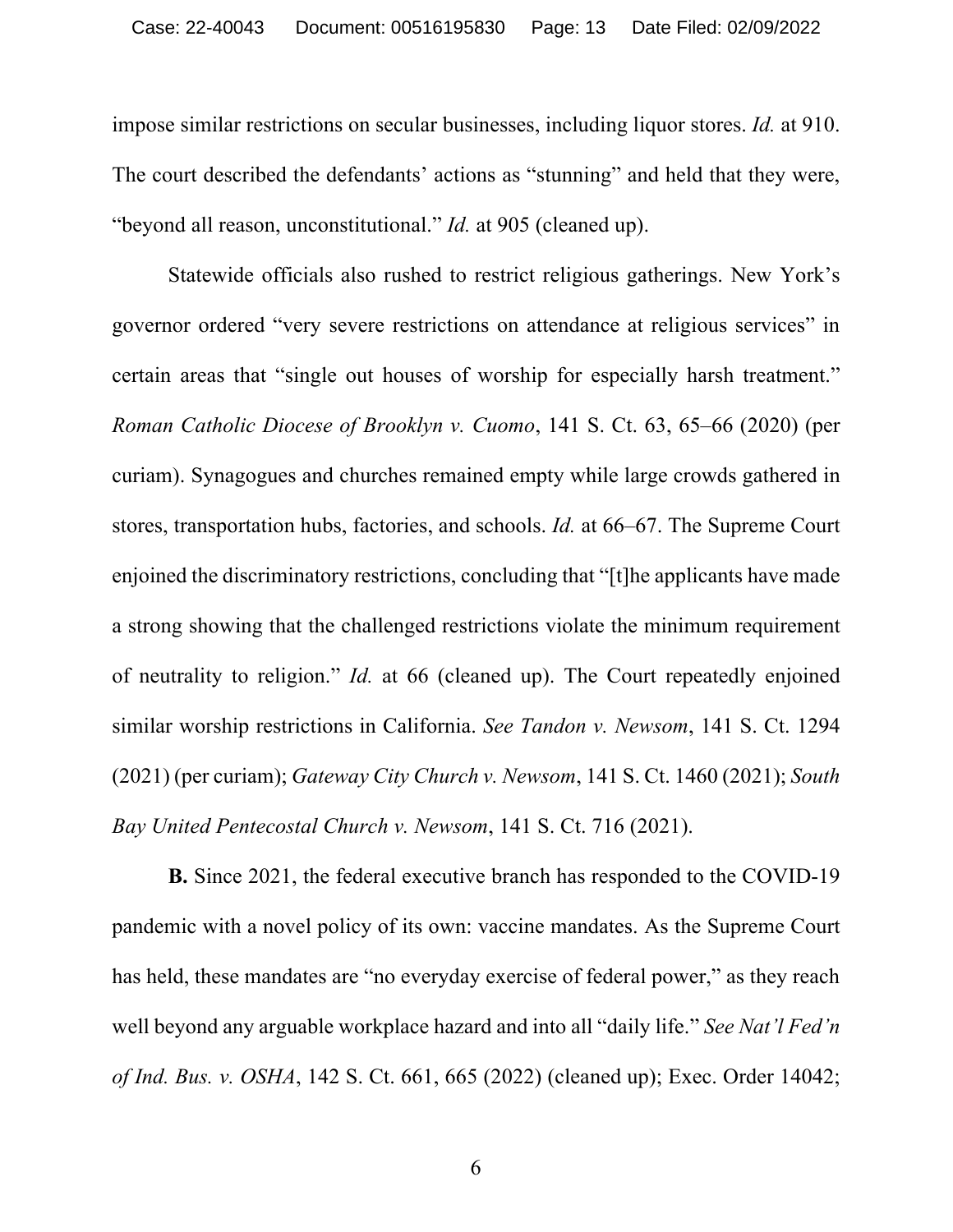impose similar restrictions on secular businesses, including liquor stores. *Id.* at 910. The court described the defendants' actions as "stunning" and held that they were, "beyond all reason, unconstitutional." *Id.* at 905 (cleaned up).

Statewide officials also rushed to restrict religious gatherings. New York's governor ordered "very severe restrictions on attendance at religious services" in certain areas that "single out houses of worship for especially harsh treatment." *Roman Catholic Diocese of Brooklyn v. Cuomo*, 141 S. Ct. 63, 65–66 (2020) (per curiam). Synagogues and churches remained empty while large crowds gathered in stores, transportation hubs, factories, and schools. *Id.* at 66–67. The Supreme Court enjoined the discriminatory restrictions, concluding that "[t]he applicants have made a strong showing that the challenged restrictions violate the minimum requirement of neutrality to religion." *Id.* at 66 (cleaned up). The Court repeatedly enjoined similar worship restrictions in California. *See Tandon v. Newsom*, 141 S. Ct. 1294 (2021) (per curiam); *Gateway City Church v. Newsom*, 141 S. Ct. 1460 (2021); *South Bay United Pentecostal Church v. Newsom*, 141 S. Ct. 716 (2021).

**B.** Since 2021, the federal executive branch has responded to the COVID-19 pandemic with a novel policy of its own: vaccine mandates. As the Supreme Court has held, these mandates are "no everyday exercise of federal power," as they reach well beyond any arguable workplace hazard and into all "daily life." *See Nat'l Fed'n of Ind. Bus. v. OSHA*, 142 S. Ct. 661, 665 (2022) (cleaned up); Exec. Order 14042;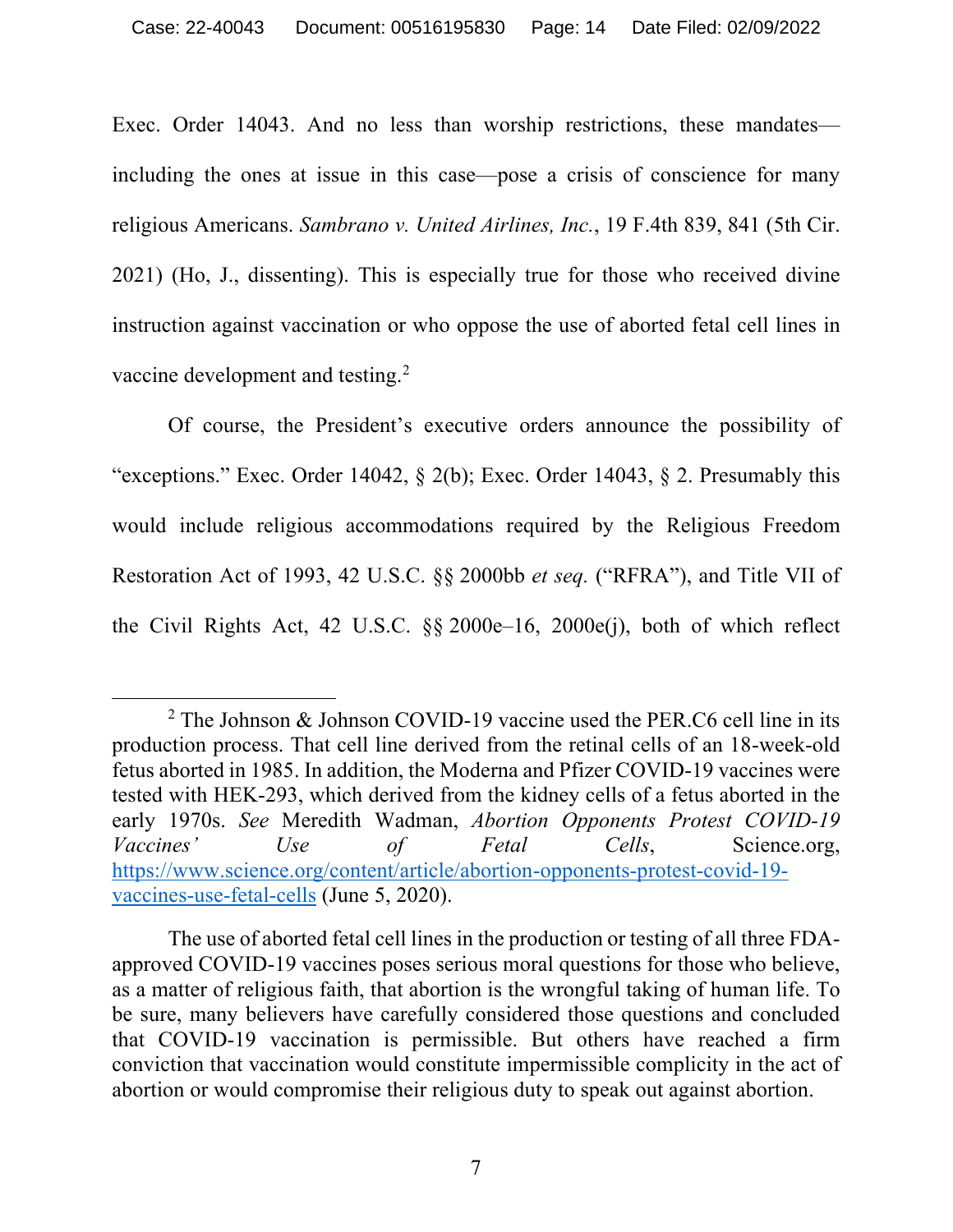Exec. Order 14043. And no less than worship restrictions, these mandates including the ones at issue in this case—pose a crisis of conscience for many religious Americans. *Sambrano v. United Airlines, Inc.*, 19 F.4th 839, 841 (5th Cir. 2021) (Ho, J., dissenting). This is especially true for those who received divine instruction against vaccination or who oppose the use of aborted fetal cell lines in vaccine development and testing.2

Of course, the President's executive orders announce the possibility of "exceptions." Exec. Order 14042,  $\S$  2(b); Exec. Order 14043,  $\S$  2. Presumably this would include religious accommodations required by the Religious Freedom Restoration Act of 1993, 42 U.S.C. §§ 2000bb *et seq.* ("RFRA"), and Title VII of the Civil Rights Act, 42 U.S.C. §§ 2000e–16, 2000e(j), both of which reflect

<sup>&</sup>lt;sup>2</sup> The Johnson & Johnson COVID-19 vaccine used the PER. C6 cell line in its production process. That cell line derived from the retinal cells of an 18-week-old fetus aborted in 1985. In addition, the Moderna and Pfizer COVID-19 vaccines were tested with HEK-293, which derived from the kidney cells of a fetus aborted in the early 1970s. *See* Meredith Wadman, *Abortion Opponents Protest COVID-19 Vaccines'* Use of Fetal Cells, Science.org, https://www.science.org/content/article/abortion-opponents-protest-covid-19 vaccines-use-fetal-cells (June 5, 2020).

The use of aborted fetal cell lines in the production or testing of all three FDAapproved COVID-19 vaccines poses serious moral questions for those who believe, as a matter of religious faith, that abortion is the wrongful taking of human life. To be sure, many believers have carefully considered those questions and concluded that COVID-19 vaccination is permissible. But others have reached a firm conviction that vaccination would constitute impermissible complicity in the act of abortion or would compromise their religious duty to speak out against abortion.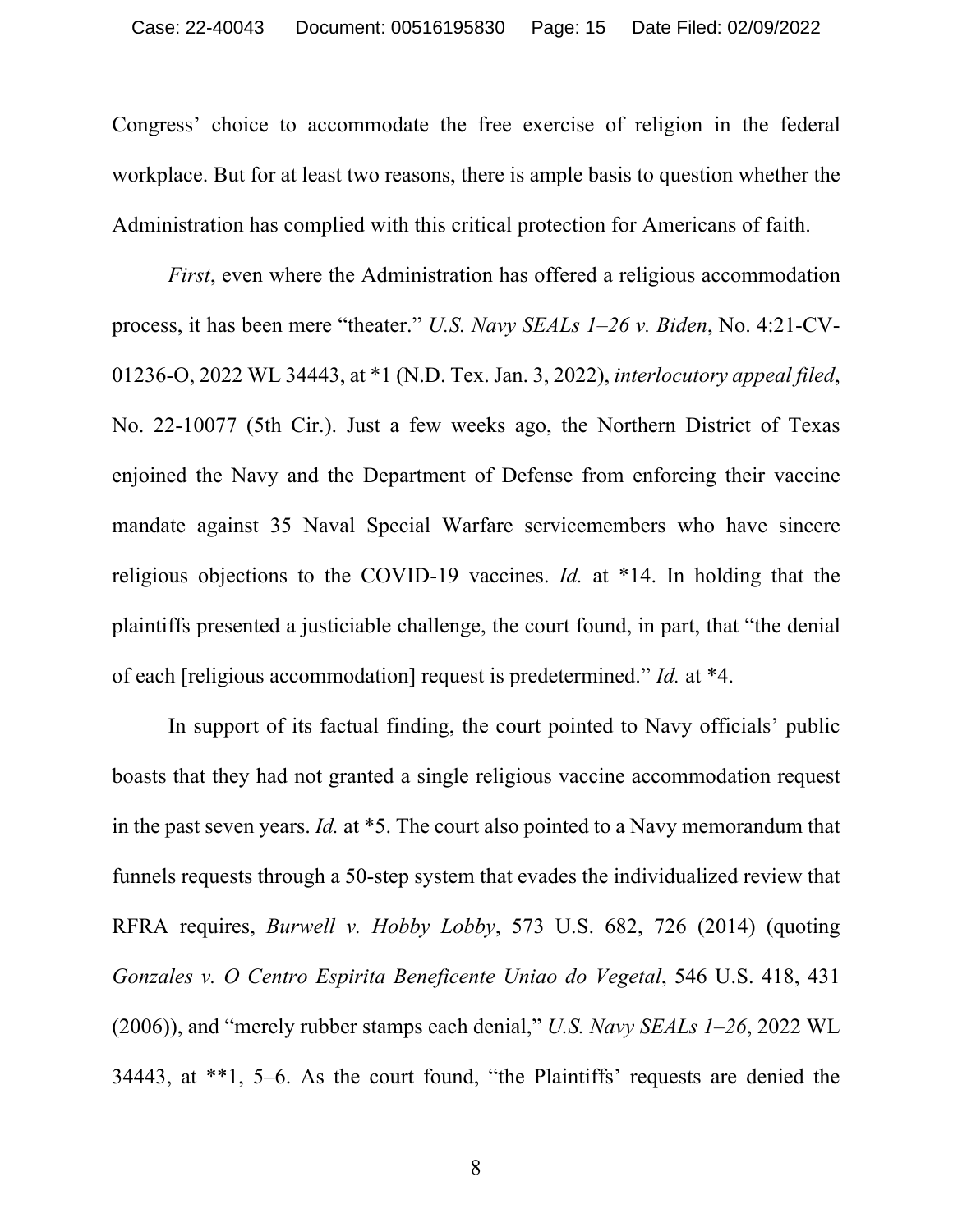Congress' choice to accommodate the free exercise of religion in the federal workplace. But for at least two reasons, there is ample basis to question whether the Administration has complied with this critical protection for Americans of faith.

*First*, even where the Administration has offered a religious accommodation process, it has been mere "theater." *U.S. Navy SEALs 1–26 v. Biden*, No. 4:21-CV-01236-O, 2022 WL 34443, at \*1 (N.D. Tex. Jan. 3, 2022), *interlocutory appeal filed*, No. 22-10077 (5th Cir.). Just a few weeks ago, the Northern District of Texas enjoined the Navy and the Department of Defense from enforcing their vaccine mandate against 35 Naval Special Warfare servicemembers who have sincere religious objections to the COVID-19 vaccines. *Id.* at \*14. In holding that the plaintiffs presented a justiciable challenge, the court found, in part, that "the denial of each [religious accommodation] request is predetermined." *Id.* at \*4.

In support of its factual finding, the court pointed to Navy officials' public boasts that they had not granted a single religious vaccine accommodation request in the past seven years. *Id.* at \*5. The court also pointed to a Navy memorandum that funnels requests through a 50-step system that evades the individualized review that RFRA requires, *Burwell v. Hobby Lobby*, 573 U.S. 682, 726 (2014) (quoting *Gonzales v. O Centro Espirita Beneficente Uniao do Vegetal*, 546 U.S. 418, 431 (2006)), and "merely rubber stamps each denial," *U.S. Navy SEALs 1–26*, 2022 WL 34443, at \*\*1, 5–6. As the court found, "the Plaintiffs' requests are denied the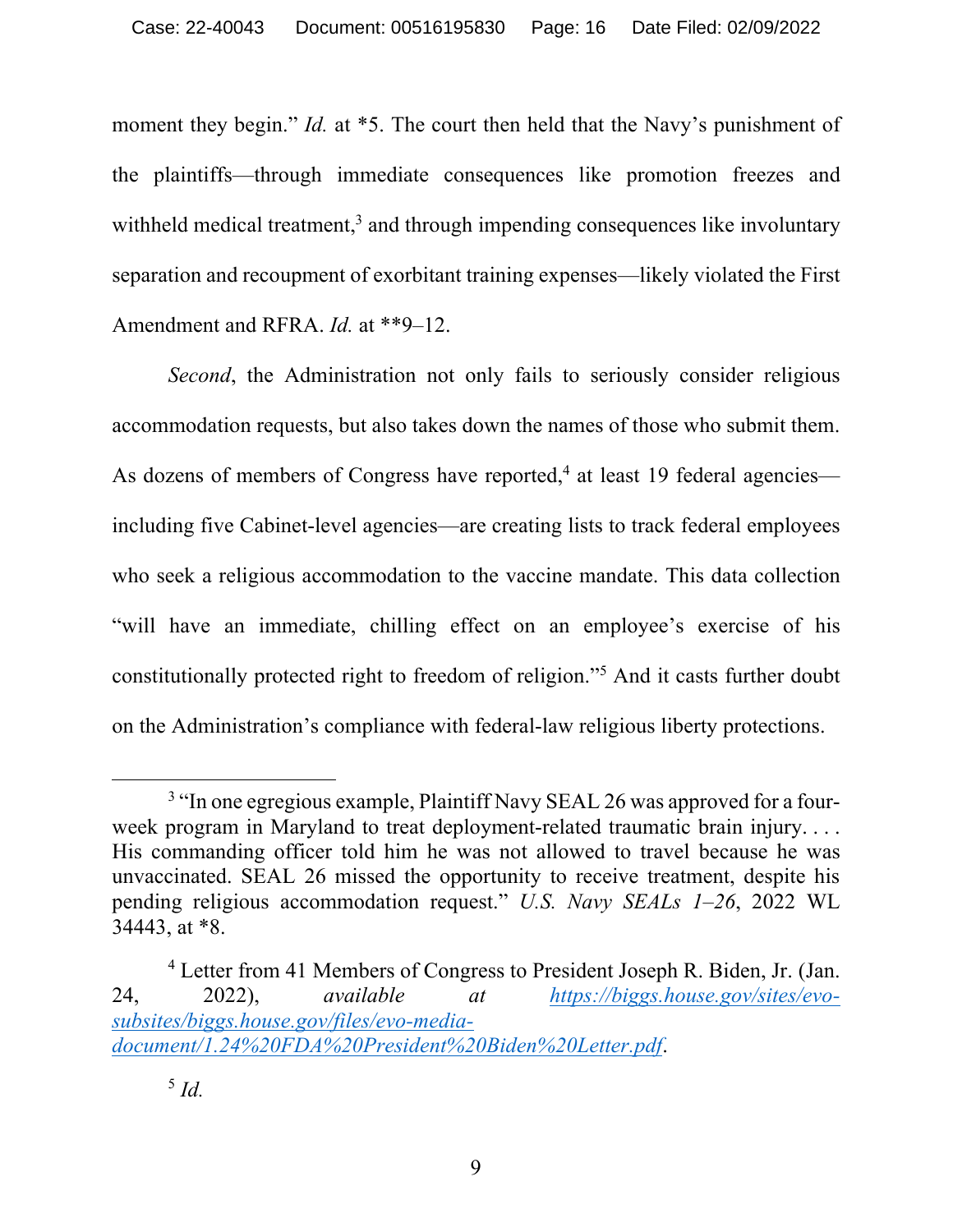moment they begin." *Id.* at \*5. The court then held that the Navy's punishment of the plaintiffs—through immediate consequences like promotion freezes and withheld medical treatment,<sup>3</sup> and through impending consequences like involuntary separation and recoupment of exorbitant training expenses—likely violated the First Amendment and RFRA. *Id.* at \*\*9–12.

*Second*, the Administration not only fails to seriously consider religious accommodation requests, but also takes down the names of those who submit them. As dozens of members of Congress have reported,<sup>4</sup> at least 19 federal agencies including five Cabinet-level agencies—are creating lists to track federal employees who seek a religious accommodation to the vaccine mandate. This data collection "will have an immediate, chilling effect on an employee's exercise of his constitutionally protected right to freedom of religion."5 And it casts further doubt on the Administration's compliance with federal-law religious liberty protections.

<sup>&</sup>lt;sup>3</sup> "In one egregious example, Plaintiff Navy SEAL 26 was approved for a fourweek program in Maryland to treat deployment-related traumatic brain injury. . . . His commanding officer told him he was not allowed to travel because he was unvaccinated. SEAL 26 missed the opportunity to receive treatment, despite his pending religious accommodation request." *U.S. Navy SEALs 1–26*, 2022 WL 34443, at \*8.

<sup>4</sup> Letter from 41 Members of Congress to President Joseph R. Biden, Jr. (Jan. 24, 2022), *available at https://biggs.house.gov/sites/evosubsites/biggs.house.gov/files/evo-mediadocument/1.24%20FDA%20President%20Biden%20Letter.pdf*.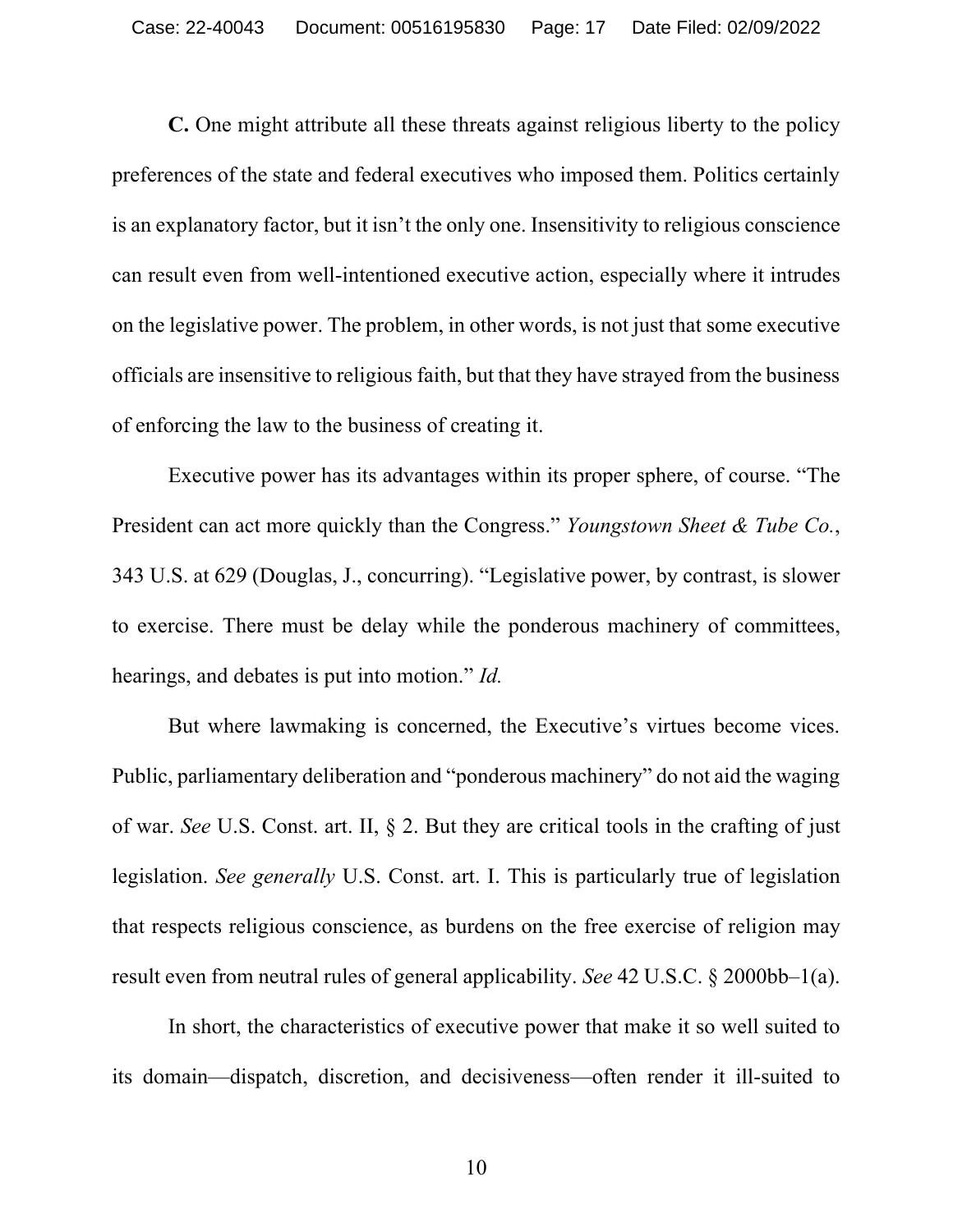**C.** One might attribute all these threats against religious liberty to the policy preferences of the state and federal executives who imposed them. Politics certainly is an explanatory factor, but it isn't the only one. Insensitivity to religious conscience can result even from well-intentioned executive action, especially where it intrudes on the legislative power. The problem, in other words, is not just that some executive officials are insensitive to religious faith, but that they have strayed from the business of enforcing the law to the business of creating it.

Executive power has its advantages within its proper sphere, of course. "The President can act more quickly than the Congress." *Youngstown Sheet & Tube Co.*, 343 U.S. at 629 (Douglas, J., concurring). "Legislative power, by contrast, is slower to exercise. There must be delay while the ponderous machinery of committees, hearings, and debates is put into motion." *Id.*

But where lawmaking is concerned, the Executive's virtues become vices. Public, parliamentary deliberation and "ponderous machinery" do not aid the waging of war. *See* U.S. Const. art. II, § 2. But they are critical tools in the crafting of just legislation. *See generally* U.S. Const. art. I. This is particularly true of legislation that respects religious conscience, as burdens on the free exercise of religion may result even from neutral rules of general applicability. *See* 42 U.S.C. § 2000bb–1(a).

In short, the characteristics of executive power that make it so well suited to its domain—dispatch, discretion, and decisiveness—often render it ill-suited to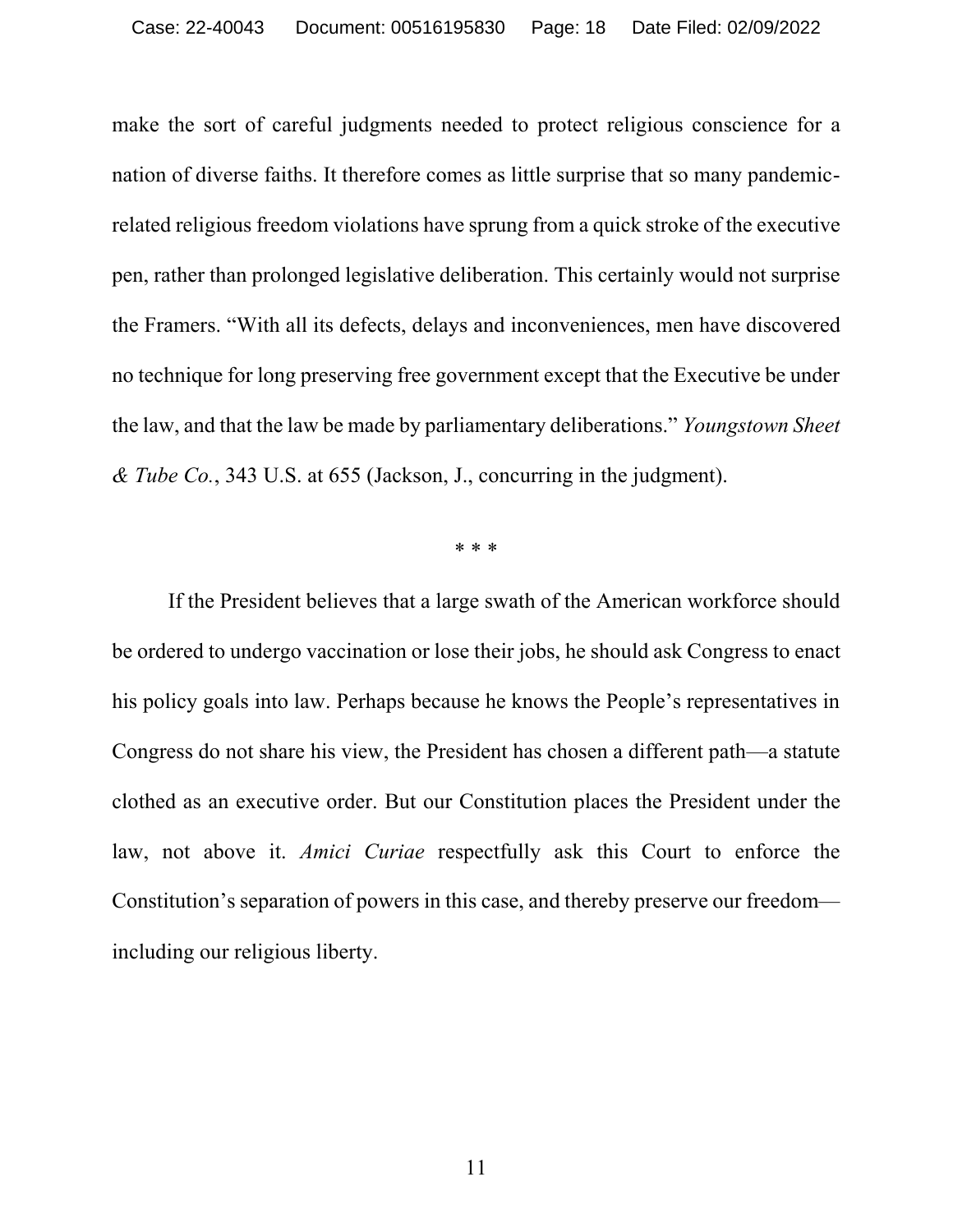make the sort of careful judgments needed to protect religious conscience for a nation of diverse faiths. It therefore comes as little surprise that so many pandemicrelated religious freedom violations have sprung from a quick stroke of the executive pen, rather than prolonged legislative deliberation. This certainly would not surprise the Framers. "With all its defects, delays and inconveniences, men have discovered no technique for long preserving free government except that the Executive be under the law, and that the law be made by parliamentary deliberations." *Youngstown Sheet & Tube Co.*, 343 U.S. at 655 (Jackson, J., concurring in the judgment).

\* \* \*

If the President believes that a large swath of the American workforce should be ordered to undergo vaccination or lose their jobs, he should ask Congress to enact his policy goals into law. Perhaps because he knows the People's representatives in Congress do not share his view, the President has chosen a different path—a statute clothed as an executive order. But our Constitution places the President under the law, not above it. *Amici Curiae* respectfully ask this Court to enforce the Constitution's separation of powers in this case, and thereby preserve our freedom including our religious liberty.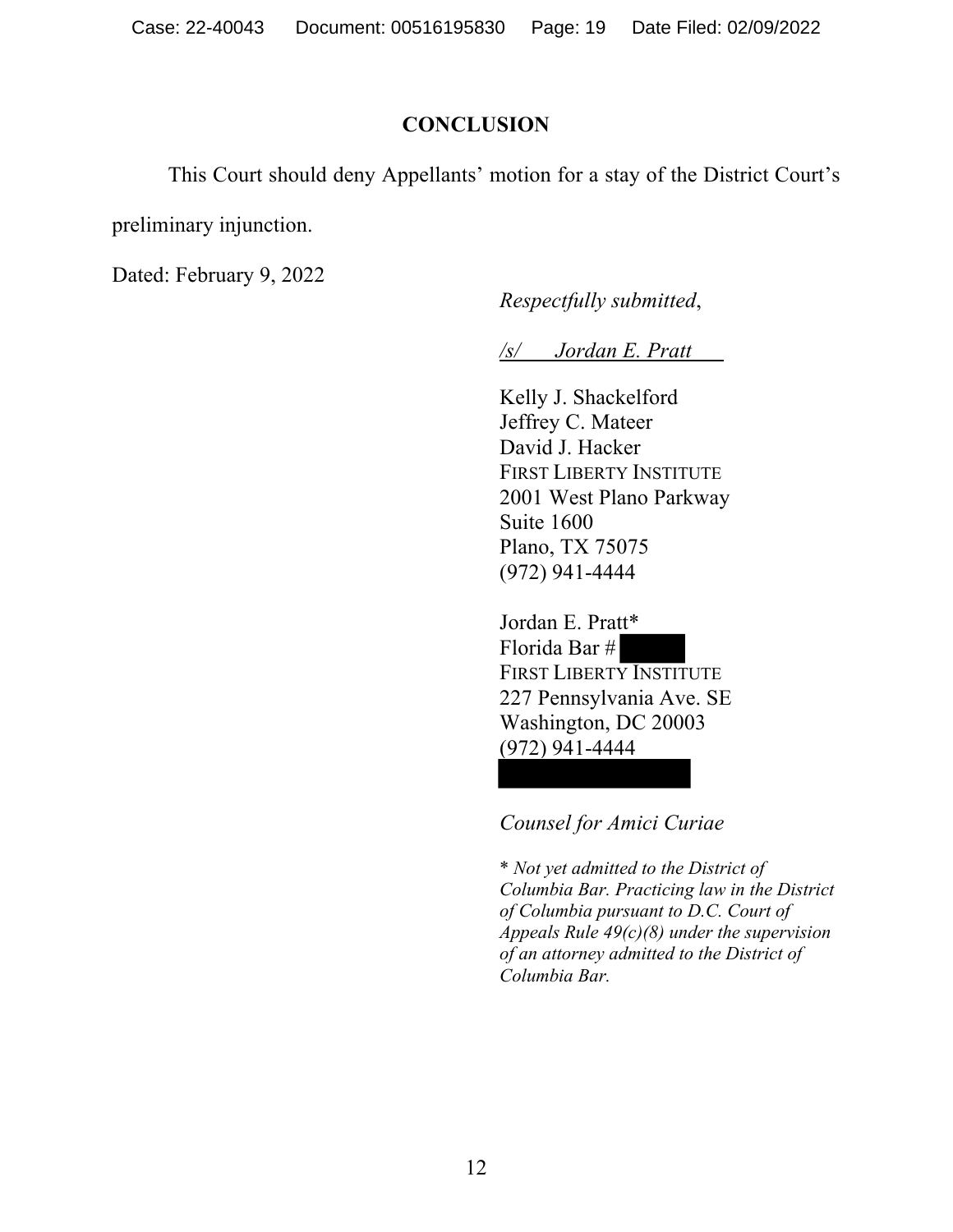### **CONCLUSION**

This Court should deny Appellants' motion for a stay of the District Court's

preliminary injunction.

Dated: February 9, 2022

*Respectfully submitted*,

*/s/ Jordan E. Pratt*

Kelly J. Shackelford Jeffrey C. Mateer David J. Hacker FIRST LIBERTY INSTITUTE 2001 West Plano Parkway Suite 1600 Plano, TX 75075 (972) 941-4444

Jordan E. Pratt\* Florida Bar # FIRST LIBERTY INSTITUTE 227 Pennsylvania Ave. SE Washington, DC 20003 (972) 941-4444

*Counsel for Amici Curiae*

\* *Not yet admitted to the District of Columbia Bar. Practicing law in the District of Columbia pursuant to D.C. Court of Appeals Rule 49(c)(8) under the supervision of an attorney admitted to the District of Columbia Bar.*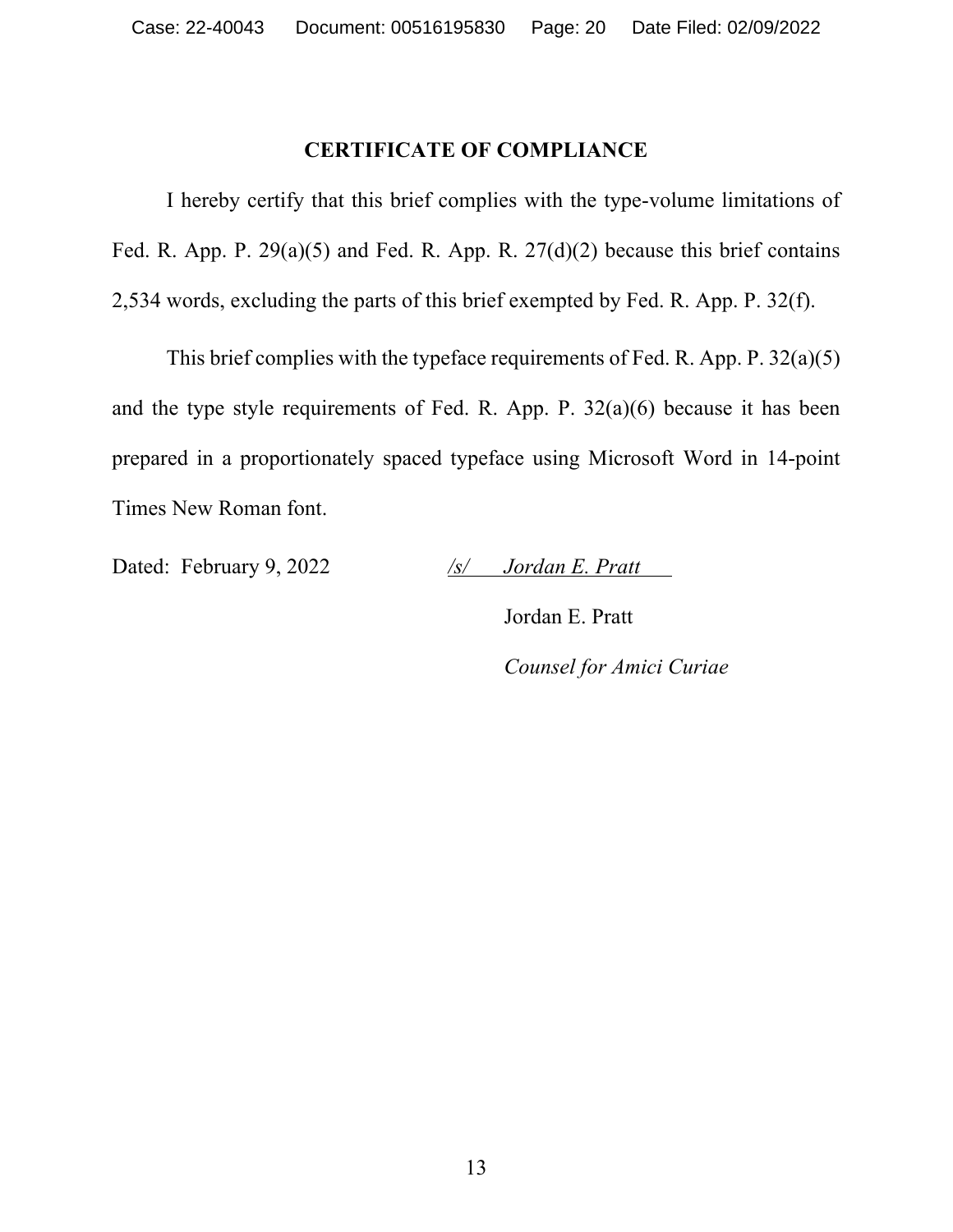#### **CERTIFICATE OF COMPLIANCE**

 I hereby certify that this brief complies with the type-volume limitations of Fed. R. App. P.  $29(a)(5)$  and Fed. R. App. R.  $27(d)(2)$  because this brief contains 2,534 words, excluding the parts of this brief exempted by Fed. R. App. P. 32(f).

 This brief complies with the typeface requirements of Fed. R. App. P. 32(a)(5) and the type style requirements of Fed. R. App. P. 32(a)(6) because it has been prepared in a proportionately spaced typeface using Microsoft Word in 14-point Times New Roman font.

Dated: February 9, 2022 */s/ Jordan E. Pratt*

Jordan E. Pratt *Counsel for Amici Curiae*